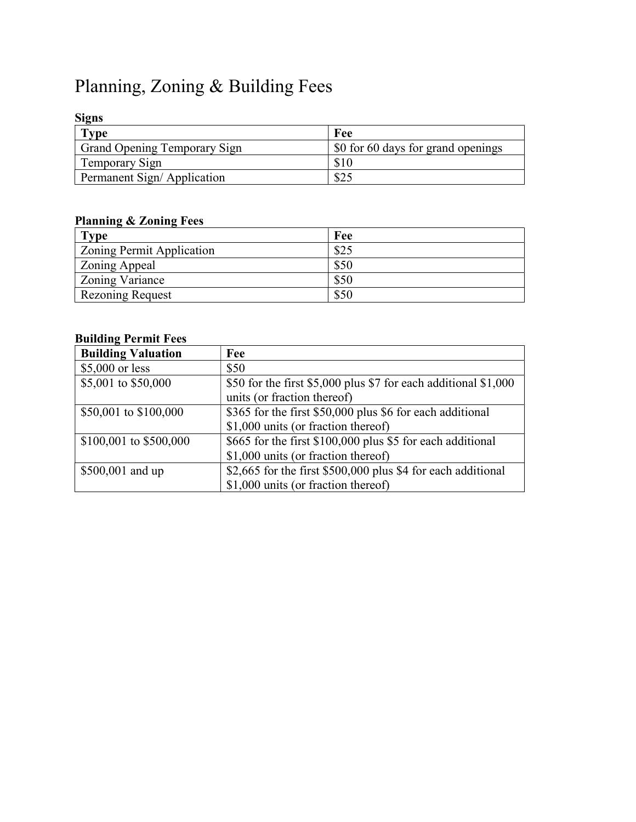# Planning, Zoning & Building Fees

#### Signs

| <b>Type</b>                         | Fee                                              |
|-------------------------------------|--------------------------------------------------|
| <b>Grand Opening Temporary Sign</b> | $\frac{1}{2}$ \$0 for 60 days for grand openings |
| Temporary Sign                      |                                                  |
| Permanent Sign/Application          | \$25                                             |

# Planning & Zoning Fees

| <b>Type</b>                      | Fee  |
|----------------------------------|------|
| <b>Zoning Permit Application</b> | \$25 |
| Zoning Appeal                    | \$50 |
| Zoning Variance                  | \$50 |
| Rezoning Request                 | \$50 |

#### Building Permit Fees

| <b>Building Valuation</b> | Fee                                                             |
|---------------------------|-----------------------------------------------------------------|
| \$5,000 or less           | \$50                                                            |
| \$5,001 to \$50,000       | \$50 for the first \$5,000 plus \$7 for each additional \$1,000 |
|                           | units (or fraction thereof)                                     |
| \$50,001 to \$100,000     | \$365 for the first \$50,000 plus \$6 for each additional       |
|                           | \$1,000 units (or fraction thereof)                             |
| \$100,001 to \$500,000    | \$665 for the first \$100,000 plus \$5 for each additional      |
|                           | \$1,000 units (or fraction thereof)                             |
| \$500,001 and up          | \$2,665 for the first \$500,000 plus \$4 for each additional    |
|                           | \$1,000 units (or fraction thereof)                             |